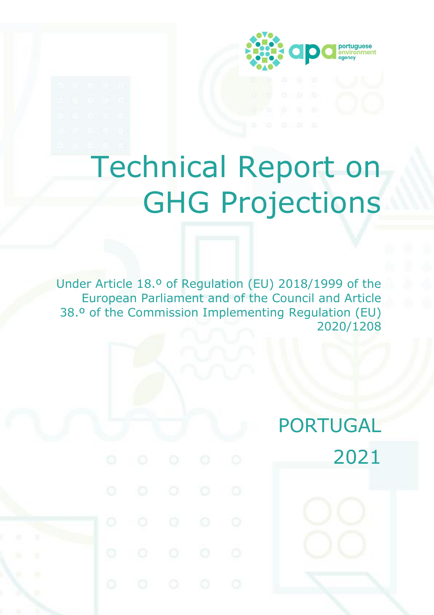

# Technical Report on GHG Projections

Under Article 18.º of Regulation (EU) 2018/1999 of the European Parliament and of the Council and Article 38.º of the Commission Implementing Regulation (EU) 2020/1208

# PORTUGAL 2021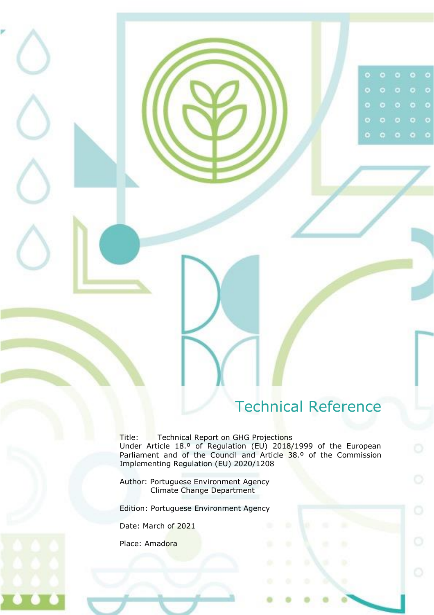# Technical Reference

 $\bullet$ 

ö

 $\bullet$ 

 $\circ$ 

<span id="page-1-0"></span>Title: Technical Report on GHG Projections Under Article 18.º of Regulation (EU) 2018/1999 of the European Parliament and of the Council and Article 38.º of the Commission Implementing Regulation (EU) 2020/1208

Author: Portuguese Environment Agency Climate Change Department

Edition: Portuguese Environment Agency

Date: March of 2021

Place: Amadora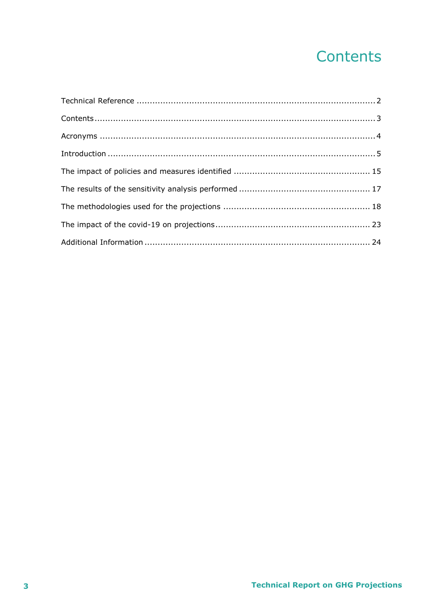# Contents

<span id="page-2-0"></span>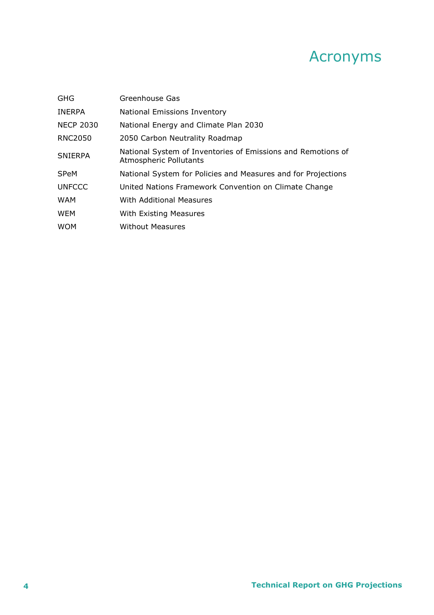### Acronyms

<span id="page-3-0"></span>

| <b>GHG</b>       | Greenhouse Gas                                                                                |
|------------------|-----------------------------------------------------------------------------------------------|
| <b>INERPA</b>    | <b>National Emissions Inventory</b>                                                           |
| <b>NECP 2030</b> | National Energy and Climate Plan 2030                                                         |
| <b>RNC2050</b>   | 2050 Carbon Neutrality Roadmap                                                                |
| <b>SNIERPA</b>   | National System of Inventories of Emissions and Remotions of<br><b>Atmospheric Pollutants</b> |
| <b>SPeM</b>      | National System for Policies and Measures and for Projections                                 |
| <b>UNFCCC</b>    | United Nations Framework Convention on Climate Change                                         |
| <b>WAM</b>       | With Additional Measures                                                                      |
| <b>WEM</b>       | With Existing Measures                                                                        |
| <b>WOM</b>       | <b>Without Measures</b>                                                                       |
|                  |                                                                                               |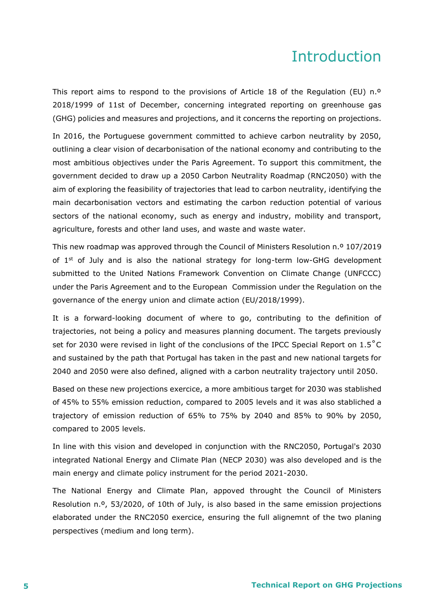### Introduction

<span id="page-4-0"></span>This report aims to respond to the provisions of Article 18 of the Regulation (EU) n.º 2018/1999 of 11st of December, concerning integrated reporting on greenhouse gas (GHG) policies and measures and projections, and it concerns the reporting on projections.

In 2016, the Portuguese government committed to achieve carbon neutrality by 2050, outlining a clear vision of decarbonisation of the national economy and contributing to the most ambitious objectives under the Paris Agreement. To support this commitment, the government decided to draw up a 2050 Carbon Neutrality Roadmap (RNC2050) with the aim of exploring the feasibility of trajectories that lead to carbon neutrality, identifying the main decarbonisation vectors and estimating the carbon reduction potential of various sectors of the national economy, such as energy and industry, mobility and transport, agriculture, forests and other land uses, and waste and waste water.

This new roadmap was approved through the Council of Ministers Resolution n.º 107/2019 of  $1<sup>st</sup>$  of July and is also the national strategy for long-term low-GHG development submitted to the United Nations Framework Convention on Climate Change (UNFCCC) under the Paris Agreement and to the European Commission under the Regulation on the governance of the energy union and climate action (EU/2018/1999).

It is a forward-looking document of where to go, contributing to the definition of trajectories, not being a policy and measures planning document. The targets previously set for 2030 were revised in light of the conclusions of the IPCC Special Report on 1.5˚C and sustained by the path that Portugal has taken in the past and new national targets for 2040 and 2050 were also defined, aligned with a carbon neutrality trajectory until 2050.

Based on these new projections exercice, a more ambitious target for 2030 was stablished of 45% to 55% emission reduction, compared to 2005 levels and it was also stabliched a trajectory of emission reduction of 65% to 75% by 2040 and 85% to 90% by 2050, compared to 2005 levels.

In line with this vision and developed in conjunction with the RNC2050, Portugal's 2030 integrated National Energy and Climate Plan (NECP 2030) was also developed and is the main energy and climate policy instrument for the period 2021-2030.

The National Energy and Climate Plan, appoved throught the Council of Ministers Resolution n.º, 53/2020, of 10th of July, is also based in the same emission projections elaborated under the RNC2050 exercice, ensuring the full alignemnt of the two planing perspectives (medium and long term).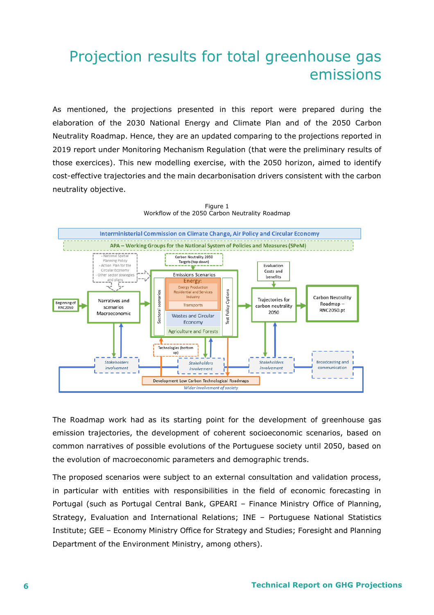### Projection results for total greenhouse gas emissions

As mentioned, the projections presented in this report were prepared during the elaboration of the 2030 National Energy and Climate Plan and of the 2050 Carbon Neutrality Roadmap. Hence, they are an updated comparing to the projections reported in 2019 report under Monitoring Mechanism Regulation (that were the preliminary results of those exercices). This new modelling exercise, with the 2050 horizon, aimed to identify cost-effective trajectories and the main decarbonisation drivers consistent with the carbon neutrality objective.



Figure 1 Workflow of the 2050 Carbon Neutrality Roadmap

The Roadmap work had as its starting point for the development of greenhouse gas emission trajectories, the development of coherent socioeconomic scenarios, based on common narratives of possible evolutions of the Portuguese society until 2050, based on the evolution of macroeconomic parameters and demographic trends.

The proposed scenarios were subject to an external consultation and validation process, in particular with entities with responsibilities in the field of economic forecasting in Portugal (such as Portugal Central Bank, GPEARI – Finance Ministry Office of Planning, Strategy, Evaluation and International Relations; INE – Portuguese National Statistics Institute; GEE – Economy Ministry Office for Strategy and Studies; Foresight and Planning Department of the Environment Ministry, among others).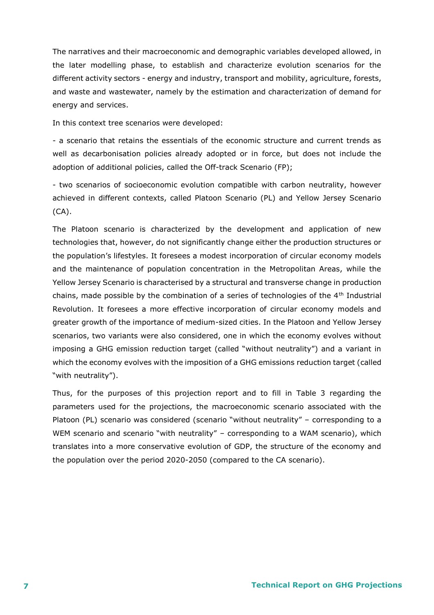The narratives and their macroeconomic and demographic variables developed allowed, in the later modelling phase, to establish and characterize evolution scenarios for the different activity sectors - energy and industry, transport and mobility, agriculture, forests, and waste and wastewater, namely by the estimation and characterization of demand for energy and services.

In this context tree scenarios were developed:

- a scenario that retains the essentials of the economic structure and current trends as well as decarbonisation policies already adopted or in force, but does not include the adoption of additional policies, called the Off-track Scenario (FP);

- two scenarios of socioeconomic evolution compatible with carbon neutrality, however achieved in different contexts, called Platoon Scenario (PL) and Yellow Jersey Scenario (CA).

The Platoon scenario is characterized by the development and application of new technologies that, however, do not significantly change either the production structures or the population's lifestyles. It foresees a modest incorporation of circular economy models and the maintenance of population concentration in the Metropolitan Areas, while the Yellow Jersey Scenario is characterised by a structural and transverse change in production chains, made possible by the combination of a series of technologies of the 4<sup>th</sup> Industrial Revolution. It foresees a more effective incorporation of circular economy models and greater growth of the importance of medium-sized cities. In the Platoon and Yellow Jersey scenarios, two variants were also considered, one in which the economy evolves without imposing a GHG emission reduction target (called "without neutrality") and a variant in which the economy evolves with the imposition of a GHG emissions reduction target (called "with neutrality").

Thus, for the purposes of this projection report and to fill in Table 3 regarding the parameters used for the projections, the macroeconomic scenario associated with the Platoon (PL) scenario was considered (scenario "without neutrality" – corresponding to a WEM scenario and scenario "with neutrality" – corresponding to a WAM scenario), which translates into a more conservative evolution of GDP, the structure of the economy and the population over the period 2020-2050 (compared to the CA scenario).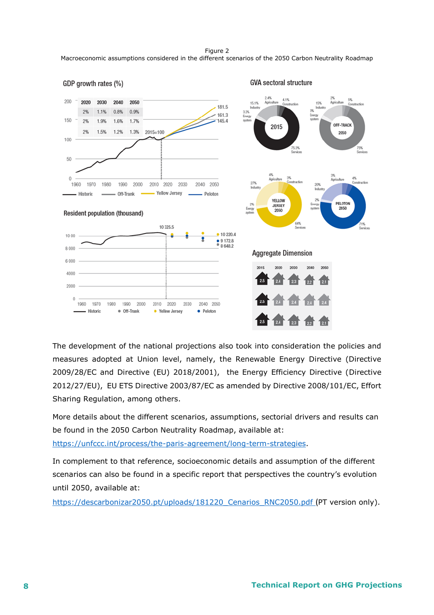Figure 2 Macroeconomic assumptions considered in the different scenarios of the 2050 Carbon Neutrality Roadmap



The development of the national projections also took into consideration the policies and measures adopted at Union level, namely, the Renewable Energy Directive (Directive 2009/28/EC and Directive (EU) 2018/2001), the Energy Efficiency Directive (Directive 2012/27/EU), EU ETS Directive 2003/87/EC as amended by Directive 2008/101/EC, Effort Sharing Regulation, among others.

More details about the different scenarios, assumptions, sectorial drivers and results can be found in the 2050 Carbon Neutrality Roadmap, available at:

[https://unfccc.int/process/the-paris-agreement/long-term-strategies.](https://unfccc.int/process/the-paris-agreement/long-term-strategies)

In complement to that reference, socioeconomic details and assumption of the different scenarios can also be found in a specific report that perspectives the country's evolution until 2050, available at:

https://descarbonizar2050.pt/uploads/181220 Cenarios RNC2050.pdf (PT version only).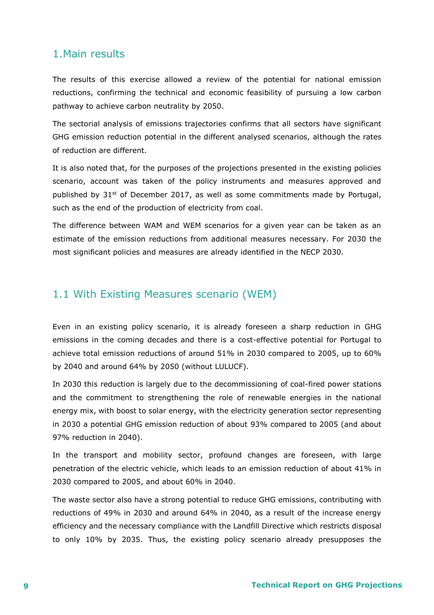### 1.Main results

The results of this exercise allowed a review of the potential for national emission reductions, confirming the technical and economic feasibility of pursuing a low carbon pathway to achieve carbon neutrality by 2050.

The sectorial analysis of emissions trajectories confirms that all sectors have significant GHG emission reduction potential in the different analysed scenarios, although the rates of reduction are different.

It is also noted that, for the purposes of the projections presented in the existing policies scenario, account was taken of the policy instruments and measures approved and published by  $31<sup>st</sup>$  of December 2017, as well as some commitments made by Portugal, such as the end of the production of electricity from coal.

The difference between WAM and WEM scenarios for a given year can be taken as an estimate of the emission reductions from additional measures necessary. For 2030 the most significant policies and measures are already identified in the NECP 2030.

### 1.1 With Existing Measures scenario (WEM)

Even in an existing policy scenario, it is already foreseen a sharp reduction in GHG emissions in the coming decades and there is a cost-effective potential for Portugal to achieve total emission reductions of around 51% in 2030 compared to 2005, up to 60% by 2040 and around 64% by 2050 (without LULUCF).

In 2030 this reduction is largely due to the decommissioning of coal-fired power stations and the commitment to strengthening the role of renewable energies in the national energy mix, with boost to solar energy, with the electricity generation sector representing in 2030 a potential GHG emission reduction of about 93% compared to 2005 (and about 97% reduction in 2040).

In the transport and mobility sector, profound changes are foreseen, with large penetration of the electric vehicle, which leads to an emission reduction of about 41% in 2030 compared to 2005, and about 60% in 2040.

The waste sector also have a strong potential to reduce GHG emissions, contributing with reductions of 49% in 2030 and around 64% in 2040, as a result of the increase energy efficiency and the necessary compliance with the Landfill Directive which restricts disposal to only 10% by 2035. Thus, the existing policy scenario already presupposes the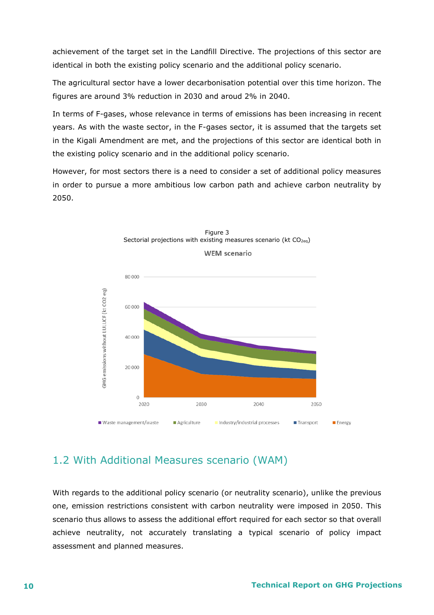achievement of the target set in the Landfill Directive. The projections of this sector are identical in both the existing policy scenario and the additional policy scenario.

The agricultural sector have a lower decarbonisation potential over this time horizon. The figures are around 3% reduction in 2030 and aroud 2% in 2040.

In terms of F-gases, whose relevance in terms of emissions has been increasing in recent years. As with the waste sector, in the F-gases sector, it is assumed that the targets set in the Kigali Amendment are met, and the projections of this sector are identical both in the existing policy scenario and in the additional policy scenario.

However, for most sectors there is a need to consider a set of additional policy measures in order to pursue a more ambitious low carbon path and achieve carbon neutrality by 2050.





### 1.2 With Additional Measures scenario (WAM)

With regards to the additional policy scenario (or neutrality scenario), unlike the previous one, emission restrictions consistent with carbon neutrality were imposed in 2050. This scenario thus allows to assess the additional effort required for each sector so that overall achieve neutrality, not accurately translating a typical scenario of policy impact assessment and planned measures.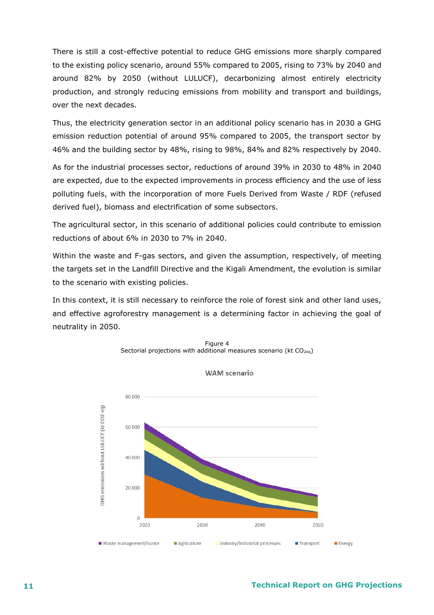There is still a cost-effective potential to reduce GHG emissions more sharply compared to the existing policy scenario, around 55% compared to 2005, rising to 73% by 2040 and around 82% by 2050 (without LULUCF), decarbonizing almost entirely electricity production, and strongly reducing emissions from mobility and transport and buildings, over the next decades.

Thus, the electricity generation sector in an additional policy scenario has in 2030 a GHG emission reduction potential of around 95% compared to 2005, the transport sector by 46% and the building sector by 48%, rising to 98%, 84% and 82% respectively by 2040.

As for the industrial processes sector, reductions of around 39% in 2030 to 48% in 2040 are expected, due to the expected improvements in process efficiency and the use of less polluting fuels, with the incorporation of more Fuels Derived from Waste / RDF (refused derived fuel), biomass and electrification of some subsectors.

The agricultural sector, in this scenario of additional policies could contribute to emission reductions of about 6% in 2030 to 7% in 2040.

Within the waste and F-gas sectors, and given the assumption, respectively, of meeting the targets set in the Landfill Directive and the Kigali Amendment, the evolution is similar to the scenario with existing policies.

In this context, it is still necessary to reinforce the role of forest sink and other land uses, and effective agroforestry management is a determining factor in achieving the goal of neutrality in 2050.





**WAM** scenario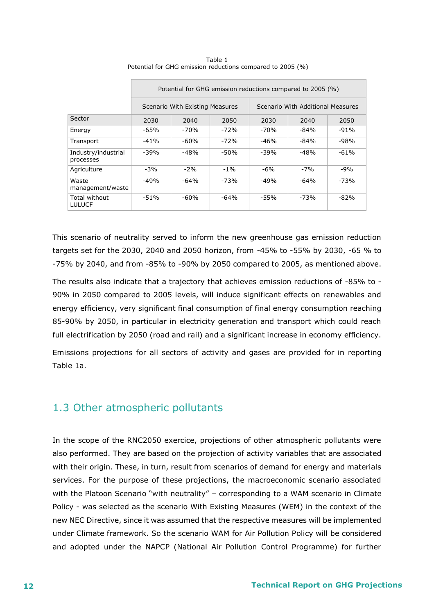|                                  | Potential for GHG emission reductions compared to 2005 (%) |                                 |        |                                   |        |        |
|----------------------------------|------------------------------------------------------------|---------------------------------|--------|-----------------------------------|--------|--------|
|                                  |                                                            | Scenario With Existing Measures |        | Scenario With Additional Measures |        |        |
| Sector                           | 2030                                                       | 2040                            | 2050   | 2030                              | 2040   | 2050   |
| Energy                           | $-65%$                                                     | $-70%$                          | $-72%$ | $-70%$                            | -84%   | $-91%$ |
| Transport                        | $-41%$                                                     | $-60%$                          | $-72%$ | -46%                              | $-84%$ | -98%   |
| Industry/industrial<br>processes | $-39%$                                                     | -48%                            | -50%   | $-39%$                            | $-48%$ | $-61%$ |
| Agriculture                      | $-3%$                                                      | $-2\%$                          | $-1\%$ | -6%                               | $-7%$  | -9%    |
| Waste<br>management/waste        | $-49%$                                                     | $-64%$                          | $-73%$ | $-49%$                            | $-64%$ | $-73%$ |
| Total without<br><b>LULUCF</b>   | $-51%$                                                     | -60%                            | $-64%$ | -55%                              | -73%   | $-82%$ |

Table 1 Potential for GHG emission reductions compared to 2005 (%)

This scenario of neutrality served to inform the new greenhouse gas emission reduction targets set for the 2030, 2040 and 2050 horizon, from -45% to -55% by 2030, -65 % to -75% by 2040, and from -85% to -90% by 2050 compared to 2005, as mentioned above.

The results also indicate that a trajectory that achieves emission reductions of -85% to - 90% in 2050 compared to 2005 levels, will induce significant effects on renewables and energy efficiency, very significant final consumption of final energy consumption reaching 85-90% by 2050, in particular in electricity generation and transport which could reach full electrification by 2050 (road and rail) and a significant increase in economy efficiency.

Emissions projections for all sectors of activity and gases are provided for in reporting Table 1a.

### 1.3 Other atmospheric pollutants

In the scope of the RNC2050 exercice, projections of other atmospheric pollutants were also performed. They are based on the projection of activity variables that are associated with their origin. These, in turn, result from scenarios of demand for energy and materials services. For the purpose of these projections, the macroeconomic scenario associated with the Platoon Scenario "with neutrality" – corresponding to a WAM scenario in Climate Policy - was selected as the scenario With Existing Measures (WEM) in the context of the new NEC Directive, since it was assumed that the respective measures will be implemented under Climate framework. So the scenario WAM for Air Pollution Policy will be considered and adopted under the NAPCP (National Air Pollution Control Programme) for further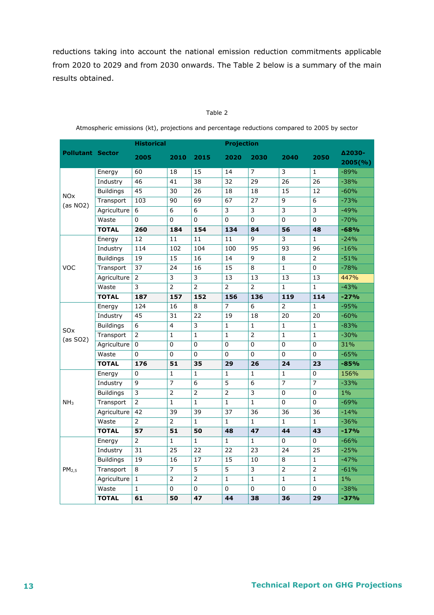reductions taking into account the national emission reduction commitments applicable from 2020 to 2029 and from 2030 onwards. The Table 2 below is a summary of the main results obtained.

#### Table 2

|                                   |                  | <b>Historical</b>         |                         |                         | <b>Projection</b> |                 |                           |                           |                             |
|-----------------------------------|------------------|---------------------------|-------------------------|-------------------------|-------------------|-----------------|---------------------------|---------------------------|-----------------------------|
| <b>Pollutant Sector</b>           |                  | 2005                      | 2010                    | 2015                    | 2020              | 2030            | 2040                      | 2050                      | <b>Δ2030-</b><br>$2005$ (%) |
| <b>NO<sub>x</sub></b><br>(as NO2) | Energy           | 60                        | 18                      | 15                      | 14                | 7               | 3                         | $\mathbf{1}$              | $-89%$                      |
|                                   | Industry         | 46                        | 41                      | 38                      | 32                | 29              | 26                        | $\overline{26}$           | $-38%$                      |
|                                   | <b>Buildings</b> | 45                        | 30                      | $\overline{26}$         | $\overline{18}$   | 18              | 15                        | 12                        | $-60%$                      |
|                                   | Transport        | 103                       | 90                      | 69                      | 67                | 27              | 9                         | 6                         | $-73%$                      |
|                                   | Agriculture      | $\boldsymbol{6}$          | 6                       | 6                       | 3                 | 3               | $\overline{\overline{3}}$ | $\overline{\overline{3}}$ | $-49%$                      |
|                                   | Waste            | 0                         | 0                       | 0                       | $\mathbf 0$       | $\overline{0}$  | 0                         | $\Omega$                  | $-70%$                      |
|                                   | <b>TOTAL</b>     | 260                       | 184                     | 154                     | 134               | 84              | 56                        | 48                        | $-68%$                      |
|                                   | Energy           | 12                        | 11                      | 11                      | 11                | 9               | 3                         | $\mathbf{1}$              | $-24%$                      |
|                                   | Industry         | 114                       | 102                     | 104                     | 100               | 95              | 93                        | 96                        | $-16%$                      |
|                                   | <b>Buildings</b> | 19                        | $\overline{15}$         | 16                      | 14                | 9               | 8                         | $\overline{2}$            | $-51%$                      |
| <b>VOC</b>                        | Transport        | $\overline{37}$           | 24                      | 16                      | $\overline{15}$   | 8               | $\mathbf{1}$              | $\mathbf 0$               | $-78%$                      |
|                                   | Agriculture      | $\overline{2}$            | $\overline{\mathbf{3}}$ | $\overline{\mathbf{3}}$ | $\overline{13}$   | 13              | 13                        | 13                        | 447%                        |
|                                   | Waste            | $\overline{\overline{3}}$ | $\overline{2}$          | $\overline{2}$          | $\overline{2}$    | $\overline{2}$  | $\mathbf{1}$              | $\mathbf{1}$              | $-43%$                      |
|                                   | <b>TOTAL</b>     | 187                       | 157                     | 152                     | 156               | 136             | 119                       | 114                       | $-27%$                      |
|                                   | Energy           | 124                       | 16                      | 8                       | $\overline{7}$    | 6               | $\overline{2}$            | $\mathbf{1}$              | $-95%$                      |
|                                   | Industry         | 45                        | 31                      | 22                      | 19                | 18              | 20                        | 20                        | $-60%$                      |
| <b>SO<sub>x</sub></b>             | <b>Buildings</b> | 6                         | 4                       | 3                       | $\mathbf{1}$      | $\mathbf{1}$    | $\mathbf{1}$              | $\mathbf{1}$              | $-83%$                      |
| (as SO2)                          | Transport        | 2                         | $\mathbf{1}$            | $\mathbf{1}$            | $\mathbf{1}$      | $\overline{2}$  | $\mathbf{1}$              | $\mathbf{1}$              | $-30%$                      |
|                                   | Agriculture      | 0                         | 0                       | 0                       | $\mathbf 0$       | 0               | 0                         | $\mathbf 0$               | 31%                         |
|                                   | Waste            | 0                         | 0                       | 0                       | 0                 | 0               | 0                         | 0                         | $-65%$                      |
|                                   | <b>TOTAL</b>     | 176                       | 51                      | 35                      | 29                | 26              | 24                        | 23                        | $-85%$                      |
|                                   | Energy           | 0                         | $\mathbf{1}$            | $\mathbf{1}$            | 1                 | $\mathbf{1}$    | $\mathbf{1}$              | 0                         | 156%                        |
|                                   | Industry         | 9                         | $\overline{7}$          | 6                       | $\overline{5}$    | 6               | 7                         |                           | $-33%$                      |
|                                   | <b>Buildings</b> | 3                         | 2                       | $\overline{2}$          | $\overline{2}$    | 3               | 0                         | 0                         | $1\%$                       |
| NH <sub>3</sub>                   | Transport        | $\overline{2}$            | $\mathbf{1}$            | $\overline{1}$          | $\mathbf{1}$      | $\overline{1}$  | 0                         | $\mathbf 0$               | $-69%$                      |
|                                   | Agriculture      | 42                        | 39                      | 39                      | 37                | $\overline{36}$ | 36                        | 36                        | $-14%$                      |
|                                   | Waste            | 2                         | $\overline{2}$          | $\mathbf{1}$            | $\mathbf{1}$      | $\mathbf{1}$    | $\mathbf{1}$              | $\mathbf{1}$              | $-36%$                      |
|                                   | <b>TOTAL</b>     | 57                        | 51                      | 50                      | 48                | 47              | 44                        | 43                        | $-17%$                      |
| PM <sub>2.5</sub>                 | Energy           | $\overline{2}$            | $\mathbf{1}$            | $\mathbf{1}$            | $\mathbf{1}$      | $\mathbf{1}$    | $\Omega$                  | $\Omega$                  | $-66%$                      |
|                                   | Industry         | 31                        | 25                      | 22                      | 22                | 23              | 24                        | 25                        | $-25%$                      |
|                                   | <b>Buildings</b> | 19                        | 16                      | 17                      | 15                | 10              | 8                         | $\mathbf{1}$              | $-47%$                      |
|                                   | Transport        | 8                         | $\overline{7}$          | 5                       | 5                 | 3               | $\overline{2}$            | $\overline{2}$            | $-61%$                      |
|                                   | Agriculture      | $\mathbf{1}$              | $\overline{2}$          | $\overline{2}$          | $\mathbf{1}$      | $\mathbf{1}$    | $\mathbf{1}$              | $\mathbf{1}$              | $1\%$                       |
|                                   | Waste            | $\mathbf{1}$              | 0                       | 0                       | $\Omega$          | 0               | 0                         | 0                         | $-38%$                      |
|                                   | <b>TOTAL</b>     | 61                        | 50                      | 47                      | 44                | 38              | 36                        | 29                        | $-37%$                      |

Atmospheric emissions (kt), projections and percentage reductions compared to 2005 by sector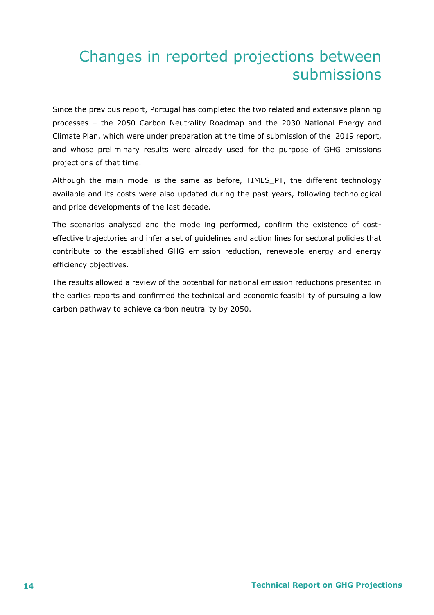## Changes in reported projections between submissions

Since the previous report, Portugal has completed the two related and extensive planning processes – the 2050 Carbon Neutrality Roadmap and the 2030 National Energy and Climate Plan, which were under preparation at the time of submission of the 2019 report, and whose preliminary results were already used for the purpose of GHG emissions projections of that time.

Although the main model is the same as before, TIMES\_PT, the different technology available and its costs were also updated during the past years, following technological and price developments of the last decade.

The scenarios analysed and the modelling performed, confirm the existence of costeffective trajectories and infer a set of guidelines and action lines for sectoral policies that contribute to the established GHG emission reduction, renewable energy and energy efficiency objectives.

The results allowed a review of the potential for national emission reductions presented in the earlies reports and confirmed the technical and economic feasibility of pursuing a low carbon pathway to achieve carbon neutrality by 2050.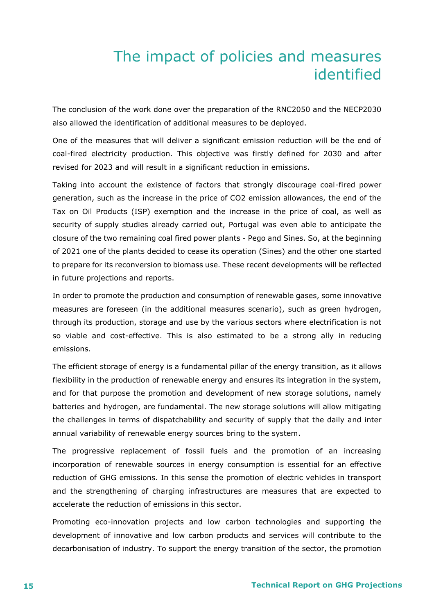### The impact of policies and measures identified

<span id="page-14-0"></span>The conclusion of the work done over the preparation of the RNC2050 and the NECP2030 also allowed the identification of additional measures to be deployed.

One of the measures that will deliver a significant emission reduction will be the end of coal-fired electricity production. This objective was firstly defined for 2030 and after revised for 2023 and will result in a significant reduction in emissions.

Taking into account the existence of factors that strongly discourage coal-fired power generation, such as the increase in the price of CO2 emission allowances, the end of the Tax on Oil Products (ISP) exemption and the increase in the price of coal, as well as security of supply studies already carried out, Portugal was even able to anticipate the closure of the two remaining coal fired power plants - Pego and Sines. So, at the beginning of 2021 one of the plants decided to cease its operation (Sines) and the other one started to prepare for its reconversion to biomass use. These recent developments will be reflected in future projections and reports.

In order to promote the production and consumption of renewable gases, some innovative measures are foreseen (in the additional measures scenario), such as green hydrogen, through its production, storage and use by the various sectors where electrification is not so viable and cost-effective. This is also estimated to be a strong ally in reducing emissions.

The efficient storage of energy is a fundamental pillar of the energy transition, as it allows flexibility in the production of renewable energy and ensures its integration in the system, and for that purpose the promotion and development of new storage solutions, namely batteries and hydrogen, are fundamental. The new storage solutions will allow mitigating the challenges in terms of dispatchability and security of supply that the daily and inter annual variability of renewable energy sources bring to the system.

The progressive replacement of fossil fuels and the promotion of an increasing incorporation of renewable sources in energy consumption is essential for an effective reduction of GHG emissions. In this sense the promotion of electric vehicles in transport and the strengthening of charging infrastructures are measures that are expected to accelerate the reduction of emissions in this sector.

Promoting eco-innovation projects and low carbon technologies and supporting the development of innovative and low carbon products and services will contribute to the decarbonisation of industry. To support the energy transition of the sector, the promotion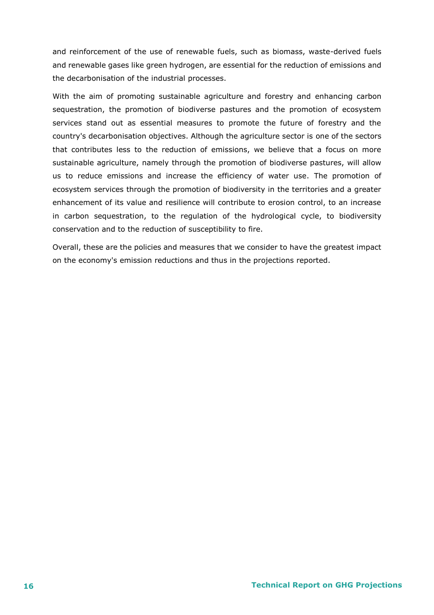and reinforcement of the use of renewable fuels, such as biomass, waste-derived fuels and renewable gases like green hydrogen, are essential for the reduction of emissions and the decarbonisation of the industrial processes.

With the aim of promoting sustainable agriculture and forestry and enhancing carbon sequestration, the promotion of biodiverse pastures and the promotion of ecosystem services stand out as essential measures to promote the future of forestry and the country's decarbonisation objectives. Although the agriculture sector is one of the sectors that contributes less to the reduction of emissions, we believe that a focus on more sustainable agriculture, namely through the promotion of biodiverse pastures, will allow us to reduce emissions and increase the efficiency of water use. The promotion of ecosystem services through the promotion of biodiversity in the territories and a greater enhancement of its value and resilience will contribute to erosion control, to an increase in carbon sequestration, to the regulation of the hydrological cycle, to biodiversity conservation and to the reduction of susceptibility to fire.

Overall, these are the policies and measures that we consider to have the greatest impact on the economy's emission reductions and thus in the projections reported.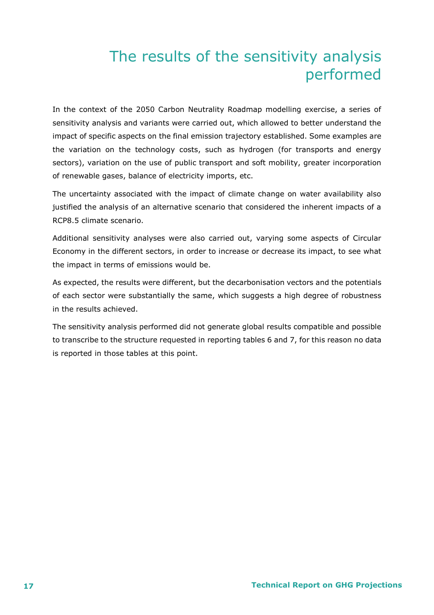# The results of the sensitivity analysis performed

<span id="page-16-0"></span>In the context of the 2050 Carbon Neutrality Roadmap modelling exercise, a series of sensitivity analysis and variants were carried out, which allowed to better understand the impact of specific aspects on the final emission trajectory established. Some examples are the variation on the technology costs, such as hydrogen (for transports and energy sectors), variation on the use of public transport and soft mobility, greater incorporation of renewable gases, balance of electricity imports, etc.

The uncertainty associated with the impact of climate change on water availability also justified the analysis of an alternative scenario that considered the inherent impacts of a RCP8.5 climate scenario.

Additional sensitivity analyses were also carried out, varying some aspects of Circular Economy in the different sectors, in order to increase or decrease its impact, to see what the impact in terms of emissions would be.

As expected, the results were different, but the decarbonisation vectors and the potentials of each sector were substantially the same, which suggests a high degree of robustness in the results achieved.

The sensitivity analysis performed did not generate global results compatible and possible to transcribe to the structure requested in reporting tables 6 and 7, for this reason no data is reported in those tables at this point.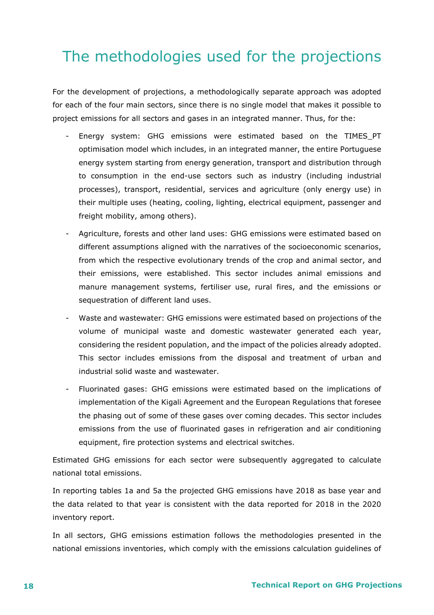# <span id="page-17-0"></span>The methodologies used for the projections

For the development of projections, a methodologically separate approach was adopted for each of the four main sectors, since there is no single model that makes it possible to project emissions for all sectors and gases in an integrated manner. Thus, for the:

- Energy system: GHG emissions were estimated based on the TIMES\_PT optimisation model which includes, in an integrated manner, the entire Portuguese energy system starting from energy generation, transport and distribution through to consumption in the end-use sectors such as industry (including industrial processes), transport, residential, services and agriculture (only energy use) in their multiple uses (heating, cooling, lighting, electrical equipment, passenger and freight mobility, among others).
- Agriculture, forests and other land uses: GHG emissions were estimated based on different assumptions aligned with the narratives of the socioeconomic scenarios, from which the respective evolutionary trends of the crop and animal sector, and their emissions, were established. This sector includes animal emissions and manure management systems, fertiliser use, rural fires, and the emissions or sequestration of different land uses.
- Waste and wastewater: GHG emissions were estimated based on projections of the volume of municipal waste and domestic wastewater generated each year, considering the resident population, and the impact of the policies already adopted. This sector includes emissions from the disposal and treatment of urban and industrial solid waste and wastewater.
- Fluorinated gases: GHG emissions were estimated based on the implications of implementation of the Kigali Agreement and the European Regulations that foresee the phasing out of some of these gases over coming decades. This sector includes emissions from the use of fluorinated gases in refrigeration and air conditioning equipment, fire protection systems and electrical switches.

Estimated GHG emissions for each sector were subsequently aggregated to calculate national total emissions.

In reporting tables 1a and 5a the projected GHG emissions have 2018 as base year and the data related to that year is consistent with the data reported for 2018 in the 2020 inventory report.

In all sectors, GHG emissions estimation follows the methodologies presented in the national emissions inventories, which comply with the emissions calculation guidelines of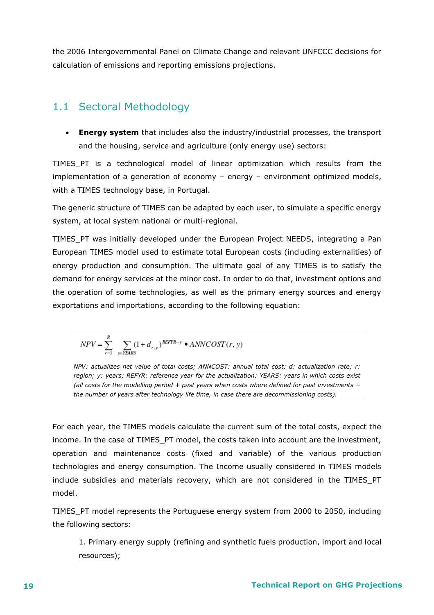the 2006 Intergovernmental Panel on Climate Change and relevant UNFCCC decisions for calculation of emissions and reporting emissions projections.

### 1.1 Sectoral Methodology

 **Energy system** that includes also the industry/industrial processes, the transport and the housing, service and agriculture (only energy use) sectors:

TIMES\_PT is a technological model of linear optimization which results from the implementation of a generation of economy – energy – environment optimized models, with a TIMES technology base, in Portugal.

The generic structure of TIMES can be adapted by each user, to simulate a specific energy system, at local system national or multi-regional.

TIMES PT was initially developed under the European Project NEEDS, integrating a Pan European TIMES model used to estimate total European costs (including externalities) of energy production and consumption. The ultimate goal of any TIMES is to satisfy the demand for energy services at the minor cost. In order to do that, investment options and the operation of some technologies, as well as the primary energy sources and energy exportations and importations, according to the following equation:

$$
NPV = \sum_{r=1}^{R} \sum_{y \in YEARS} (1 + d_{r,y})^{REFYR-y} \cdot ANNCOST(r, y)
$$

*NPV: actualizes net value of total costs; ANNCOST: annual total cost; d: actualization rate; r: region; y: years; REFYR: reference year for the actualization; YEARS: years in which costs exist (all costs for the modelling period + past years when costs where defined for past investments + the number of years after technology life time, in case there are decommissioning costs).*

For each year, the TIMES models calculate the current sum of the total costs, expect the income. In the case of TIMES\_PT model, the costs taken into account are the investment, operation and maintenance costs (fixed and variable) of the various production technologies and energy consumption. The Income usually considered in TIMES models include subsidies and materials recovery, which are not considered in the TIMES\_PT model.

TIMES\_PT model represents the Portuguese energy system from 2000 to 2050, including the following sectors:

1. Primary energy supply (refining and synthetic fuels production, import and local resources);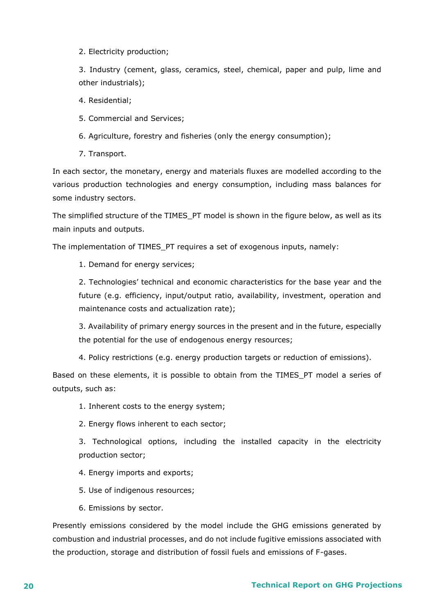2. Electricity production;

3. Industry (cement, glass, ceramics, steel, chemical, paper and pulp, lime and other industrials);

4. Residential;

5. Commercial and Services;

6. Agriculture, forestry and fisheries (only the energy consumption);

7. Transport.

In each sector, the monetary, energy and materials fluxes are modelled according to the various production technologies and energy consumption, including mass balances for some industry sectors.

The simplified structure of the TIMES\_PT model is shown in the figure below, as well as its main inputs and outputs.

The implementation of TIMES\_PT requires a set of exogenous inputs, namely:

1. Demand for energy services;

2. Technologies' technical and economic characteristics for the base year and the future (e.g. efficiency, input/output ratio, availability, investment, operation and maintenance costs and actualization rate);

3. Availability of primary energy sources in the present and in the future, especially the potential for the use of endogenous energy resources;

4. Policy restrictions (e.g. energy production targets or reduction of emissions).

Based on these elements, it is possible to obtain from the TIMES\_PT model a series of outputs, such as:

1. Inherent costs to the energy system;

2. Energy flows inherent to each sector;

3. Technological options, including the installed capacity in the electricity production sector;

4. Energy imports and exports;

5. Use of indigenous resources;

6. Emissions by sector.

Presently emissions considered by the model include the GHG emissions generated by combustion and industrial processes, and do not include fugitive emissions associated with the production, storage and distribution of fossil fuels and emissions of F-gases.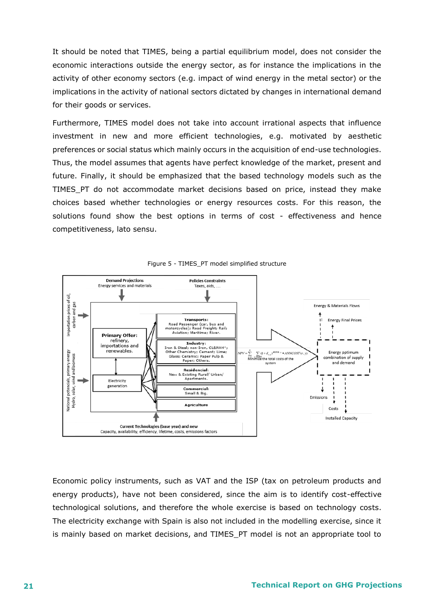It should be noted that TIMES, being a partial equilibrium model, does not consider the economic interactions outside the energy sector, as for instance the implications in the activity of other economy sectors (e.g. impact of wind energy in the metal sector) or the implications in the activity of national sectors dictated by changes in international demand for their goods or services.

Furthermore, TIMES model does not take into account irrational aspects that influence investment in new and more efficient technologies, e.g. motivated by aesthetic preferences or social status which mainly occurs in the acquisition of end-use technologies. Thus, the model assumes that agents have perfect knowledge of the market, present and future. Finally, it should be emphasized that the based technology models such as the TIMES\_PT do not accommodate market decisions based on price, instead they make choices based whether technologies or energy resources costs. For this reason, the solutions found show the best options in terms of cost - effectiveness and hence competitiveness, lato sensu.





Economic policy instruments, such as VAT and the ISP (tax on petroleum products and energy products), have not been considered, since the aim is to identify cost-effective technological solutions, and therefore the whole exercise is based on technology costs. The electricity exchange with Spain is also not included in the modelling exercise, since it is mainly based on market decisions, and TIMES\_PT model is not an appropriate tool to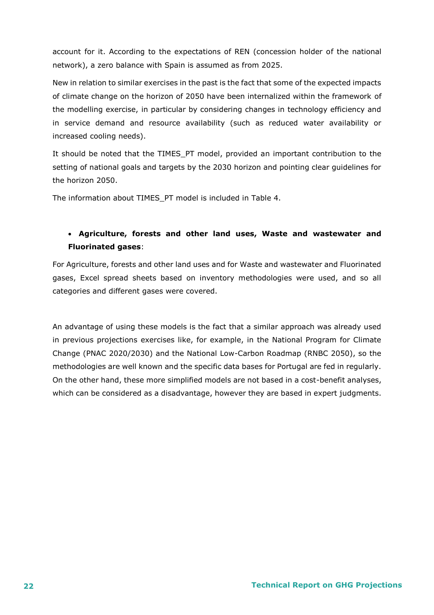account for it. According to the expectations of REN (concession holder of the national network), a zero balance with Spain is assumed as from 2025.

New in relation to similar exercises in the past is the fact that some of the expected impacts of climate change on the horizon of 2050 have been internalized within the framework of the modelling exercise, in particular by considering changes in technology efficiency and in service demand and resource availability (such as reduced water availability or increased cooling needs).

It should be noted that the TIMES\_PT model, provided an important contribution to the setting of national goals and targets by the 2030 horizon and pointing clear guidelines for the horizon 2050.

The information about TIMES\_PT model is included in Table 4.

### **Agriculture, forests and other land uses, Waste and wastewater and Fluorinated gases**:

For Agriculture, forests and other land uses and for Waste and wastewater and Fluorinated gases, Excel spread sheets based on inventory methodologies were used, and so all categories and different gases were covered.

An advantage of using these models is the fact that a similar approach was already used in previous projections exercises like, for example, in the National Program for Climate Change (PNAC 2020/2030) and the National Low-Carbon Roadmap (RNBC 2050), so the methodologies are well known and the specific data bases for Portugal are fed in regularly. On the other hand, these more simplified models are not based in a cost-benefit analyses, which can be considered as a disadvantage, however they are based in expert judgments.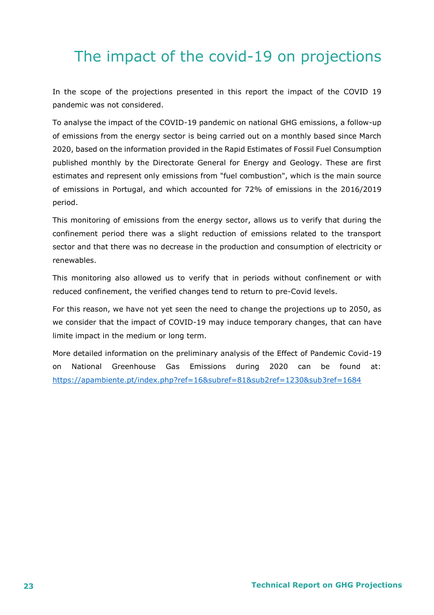# <span id="page-22-0"></span>The impact of the covid-19 on projections

In the scope of the projections presented in this report the impact of the COVID 19 pandemic was not considered.

To analyse the impact of the COVID-19 pandemic on national GHG emissions, a follow-up of emissions from the energy sector is being carried out on a monthly based since March 2020, based on the information provided in the Rapid Estimates of Fossil Fuel Consumption published monthly by the Directorate General for Energy and Geology. These are first estimates and represent only emissions from "fuel combustion", which is the main source of emissions in Portugal, and which accounted for 72% of emissions in the 2016/2019 period.

This monitoring of emissions from the energy sector, allows us to verify that during the confinement period there was a slight reduction of emissions related to the transport sector and that there was no decrease in the production and consumption of electricity or renewables.

This monitoring also allowed us to verify that in periods without confinement or with reduced confinement, the verified changes tend to return to pre-Covid levels.

For this reason, we have not yet seen the need to change the projections up to 2050, as we consider that the impact of COVID-19 may induce temporary changes, that can have limite impact in the medium or long term.

More detailed information on the preliminary analysis of the Effect of Pandemic Covid-19 on National Greenhouse Gas Emissions during 2020 can be found at: <https://apambiente.pt/index.php?ref=16&subref=81&sub2ref=1230&sub3ref=1684>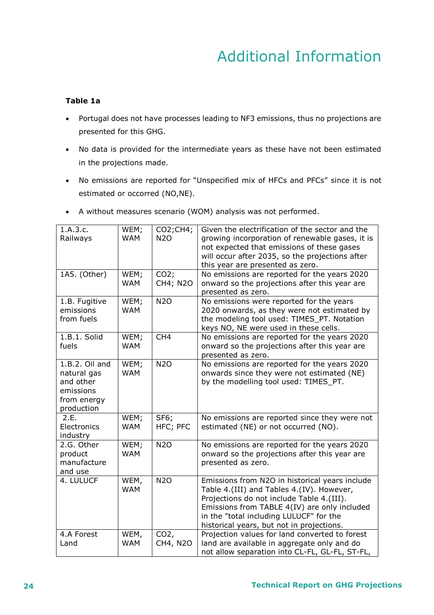# Additional Information

### <span id="page-23-0"></span>**Table 1a**

- Portugal does not have processes leading to NF3 emissions, thus no projections are presented for this GHG.
- No data is provided for the intermediate years as these have not been estimated in the projections made.
- No emissions are reported for "Unspecified mix of HFCs and PFCs" since it is not estimated or occorred (NO,NE).

| 1.A.3.c.<br>Railways                                                                 | WEM;<br><b>WAM</b> | CO2; CH4;<br><b>N2O</b>     | Given the electrification of the sector and the<br>growing incorporation of renewable gases, it is<br>not expected that emissions of these gases<br>will occur after 2035, so the projections after<br>this year are presented as zero.                                          |
|--------------------------------------------------------------------------------------|--------------------|-----------------------------|----------------------------------------------------------------------------------------------------------------------------------------------------------------------------------------------------------------------------------------------------------------------------------|
| 1A5. (Other)                                                                         | WEM;<br><b>WAM</b> | CO2;<br>CH4; N2O            | No emissions are reported for the years 2020<br>onward so the projections after this year are<br>presented as zero.                                                                                                                                                              |
| 1.B. Fugitive<br>emissions<br>from fuels                                             | WEM;<br><b>WAM</b> | <b>N2O</b>                  | No emissions were reported for the years<br>2020 onwards, as they were not estimated by<br>the modeling tool used: TIMES_PT. Notation<br>keys NO, NE were used in these cells.                                                                                                   |
| 1.B.1. Solid<br>fuels                                                                | WEM;<br><b>WAM</b> | CH <sub>4</sub>             | No emissions are reported for the years 2020<br>onward so the projections after this year are<br>presented as zero.                                                                                                                                                              |
| 1.B.2. Oil and<br>natural gas<br>and other<br>emissions<br>from energy<br>production | WEM;<br><b>WAM</b> | <b>N2O</b>                  | No emissions are reported for the years 2020<br>onwards since they were not estimated (NE)<br>by the modelling tool used: TIMES_PT.                                                                                                                                              |
| 2.E.<br>Electronics<br>industry                                                      | WEM;<br><b>WAM</b> | <b>SF6;</b><br>HFC; PFC     | No emissions are reported since they were not<br>estimated (NE) or not occurred (NO).                                                                                                                                                                                            |
| 2.G. Other<br>product<br>manufacture<br>and use                                      | WEM;<br><b>WAM</b> | <b>N2O</b>                  | No emissions are reported for the years 2020<br>onward so the projections after this year are<br>presented as zero.                                                                                                                                                              |
| 4. LULUCF                                                                            | WEM,<br><b>WAM</b> | <b>N2O</b>                  | Emissions from N2O in historical years include<br>Table 4.(III) and Tables 4.(IV). However,<br>Projections do not include Table 4.(III).<br>Emissions from TABLE 4(IV) are only included<br>in the "total including LULUCF" for the<br>historical years, but not in projections. |
| 4.A Forest<br>Land                                                                   | WEM,<br><b>WAM</b> | CO <sub>2</sub><br>CH4, N2O | Projection values for land converted to forest<br>land are available in aggregate only and do<br>not allow separation into CL-FL, GL-FL, ST-FL,                                                                                                                                  |

A without measures scenario (WOM) analysis was not performed.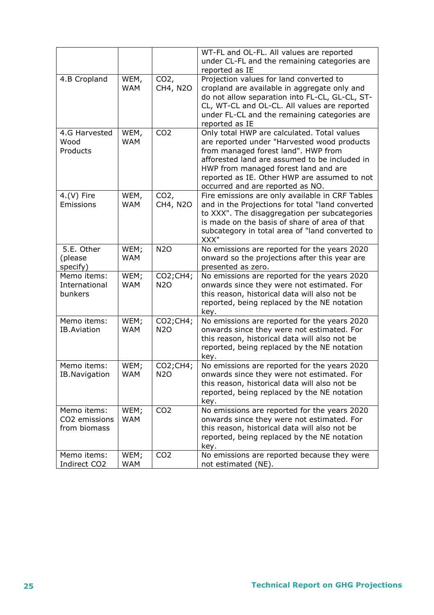|                    |            |                 | WT-FL and OL-FL. All values are reported<br>under CL-FL and the remaining categories are<br>reported as IE |
|--------------------|------------|-----------------|------------------------------------------------------------------------------------------------------------|
|                    |            |                 |                                                                                                            |
| 4.B Cropland       | WEM,       | $CO2$ ,         | Projection values for land converted to                                                                    |
|                    | <b>WAM</b> | CH4, N2O        | cropland are available in aggregate only and                                                               |
|                    |            |                 | do not allow separation into FL-CL, GL-CL, ST-                                                             |
|                    |            |                 | CL, WT-CL and OL-CL. All values are reported                                                               |
|                    |            |                 | under FL-CL and the remaining categories are                                                               |
|                    |            |                 | reported as IE                                                                                             |
| 4.G Harvested      | WEM,       | CO <sub>2</sub> | Only total HWP are calculated. Total values                                                                |
| Wood               | <b>WAM</b> |                 | are reported under "Harvested wood products                                                                |
|                    |            |                 |                                                                                                            |
| Products           |            |                 | from managed forest land". HWP from                                                                        |
|                    |            |                 | afforested land are assumed to be included in                                                              |
|                    |            |                 | HWP from managed forest land and are                                                                       |
|                    |            |                 | reported as IE. Other HWP are assumed to not                                                               |
|                    |            |                 | occurred and are reported as NO.                                                                           |
| $4.(V)$ Fire       | WEM,       | $CO2$ ,         | Fire emissions are only available in CRF Tables                                                            |
| Emissions          | <b>WAM</b> | CH4, N2O        | and in the Projections for total "land converted                                                           |
|                    |            |                 | to XXX". The disaggregation per subcategories                                                              |
|                    |            |                 | is made on the basis of share of area of that                                                              |
|                    |            |                 | subcategory in total area of "land converted to                                                            |
|                    |            |                 | XXX"                                                                                                       |
| 5.E. Other         | WEM;       | <b>N2O</b>      | No emissions are reported for the years 2020                                                               |
|                    |            |                 |                                                                                                            |
| (please            | <b>WAM</b> |                 | onward so the projections after this year are                                                              |
| specify)           |            |                 | presented as zero.                                                                                         |
| Memo items:        | WEM;       | $CO2$ ; CH4;    | No emissions are reported for the years 2020                                                               |
| International      | <b>WAM</b> | <b>N2O</b>      | onwards since they were not estimated. For                                                                 |
| bunkers            |            |                 | this reason, historical data will also not be                                                              |
|                    |            |                 | reported, being replaced by the NE notation                                                                |
|                    |            |                 | key.                                                                                                       |
| Memo items:        | WEM;       | CO2;CH4;        | No emissions are reported for the years 2020                                                               |
| <b>IB.Aviation</b> | <b>WAM</b> | <b>N2O</b>      | onwards since they were not estimated. For                                                                 |
|                    |            |                 | this reason, historical data will also not be                                                              |
|                    |            |                 | reported, being replaced by the NE notation                                                                |
|                    |            |                 | key.                                                                                                       |
| Memo items:        | WEM;       | CO2;CH4;        | No emissions are reported for the years 2020                                                               |
|                    |            |                 |                                                                                                            |
| IB.Navigation      | <b>WAM</b> | <b>N2O</b>      | onwards since they were not estimated. For                                                                 |
|                    |            |                 | this reason, historical data will also not be                                                              |
|                    |            |                 | reported, being replaced by the NE notation                                                                |
|                    |            |                 | key.                                                                                                       |
| Memo items:        | WEM;       | CO <sub>2</sub> | No emissions are reported for the years 2020                                                               |
| CO2 emissions      | <b>WAM</b> |                 | onwards since they were not estimated. For                                                                 |
| from biomass       |            |                 | this reason, historical data will also not be                                                              |
|                    |            |                 | reported, being replaced by the NE notation                                                                |
|                    |            |                 | key.                                                                                                       |
| Memo items:        | WEM;       | CO <sub>2</sub> | No emissions are reported because they were                                                                |
| Indirect CO2       | <b>WAM</b> |                 | not estimated (NE).                                                                                        |
|                    |            |                 |                                                                                                            |